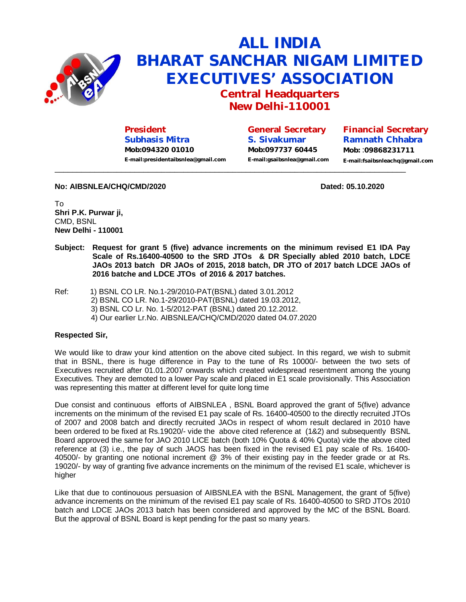

## **ALL INDIA BHARAT SANCHAR NIGAM LIMITED EXECUTIVES' ASSOCIATION**

**Central Headquarters New Delhi-110001**

**President Subhasis Mitra Mob:094320 01010 [E-mail:presidentaibsnlea@gmail.com](mailto:E-mail:presidentaibsnlea@gmail.com)**

**General Secretary S. Sivakumar Mob:097737 60445 [E-mail:gsaibsnlea@gmail.com](mailto:E-mail:gsaibsnlea@gmail.com)** **Financial Secretary Ramnath Chhabra Mob:** :**09868231711 [E-mail:fsaibsnleachq@gmail.com](mailto:E-mail:fsaibsnleachq@gmail.com)**

## **No: AIBSNLEA/CHQ/CMD/2020 Dated: 05.10.2020 Dated: 05.10.2020**

To **Shri P.K. Purwar ji,**  CMD, BSNL **New Delhi - 110001**

**Subject: Request for grant 5 (five) advance increments on the minimum revised E1 IDA Pay Scale of Rs.16400-40500 to the SRD JTOs & DR Specially abled 2010 batch, LDCE JAOs 2013 batch DR JAOs of 2015, 2018 batch, DR JTO of 2017 batch LDCE JAOs of 2016 batche and LDCE JTOs of 2016 & 2017 batches.**

 $\overline{\phantom{a}}$  ,  $\overline{\phantom{a}}$  ,  $\overline{\phantom{a}}$  ,  $\overline{\phantom{a}}$  ,  $\overline{\phantom{a}}$  ,  $\overline{\phantom{a}}$  ,  $\overline{\phantom{a}}$  ,  $\overline{\phantom{a}}$  ,  $\overline{\phantom{a}}$  ,  $\overline{\phantom{a}}$  ,  $\overline{\phantom{a}}$  ,  $\overline{\phantom{a}}$  ,  $\overline{\phantom{a}}$  ,  $\overline{\phantom{a}}$  ,  $\overline{\phantom{a}}$  ,  $\overline{\phantom{a}}$ 

Ref: 1) BSNL CO LR. No.1-29/2010-PAT(BSNL) dated 3.01.2012 2) BSNL CO LR. No.1-29/2010-PAT(BSNL) dated 19.03.2012, 3) BSNL CO Lr. No. 1-5/2012-PAT (BSNL) dated 20.12.2012. 4) Our earlier Lr.No. AIBSNLEA/CHQ/CMD/2020 dated 04.07.2020

## **Respected Sir,**

We would like to draw your kind attention on the above cited subject. In this regard, we wish to submit that in BSNL, there is huge difference in Pay to the tune of Rs 10000/- between the two sets of Executives recruited after 01.01.2007 onwards which created widespread resentment among the young Executives. They are demoted to a lower Pay scale and placed in E1 scale provisionally. This Association was representing this matter at different level for quite long time

Due consist and continuous efforts of AIBSNLEA , BSNL Board approved the grant of 5(five) advance increments on the minimum of the revised E1 pay scale of Rs. 16400-40500 to the directly recruited JTOs of 2007 and 2008 batch and directly recruited JAOs in respect of whom result declared in 2010 have been ordered to be fixed at Rs.19020/- vide the above cited reference at (1&2) and subsequently BSNL Board approved the same for JAO 2010 LICE batch (both 10% Quota & 40% Quota) vide the above cited reference at (3) i.e., the pay of such JAOS has been fixed in the revised E1 pay scale of Rs. 16400- 40500/- by granting one notional increment @ 3% of their existing pay in the feeder grade or at Rs. 19020/- by way of granting five advance increments on the minimum of the revised E1 scale, whichever is higher

Like that due to continouous persuasion of AIBSNLEA with the BSNL Management, the grant of 5(five) advance increments on the minimum of the revised E1 pay scale of Rs. 16400-40500 to SRD JTOs 2010 batch and LDCE JAOs 2013 batch has been considered and approved by the MC of the BSNL Board. But the approval of BSNL Board is kept pending for the past so many years.